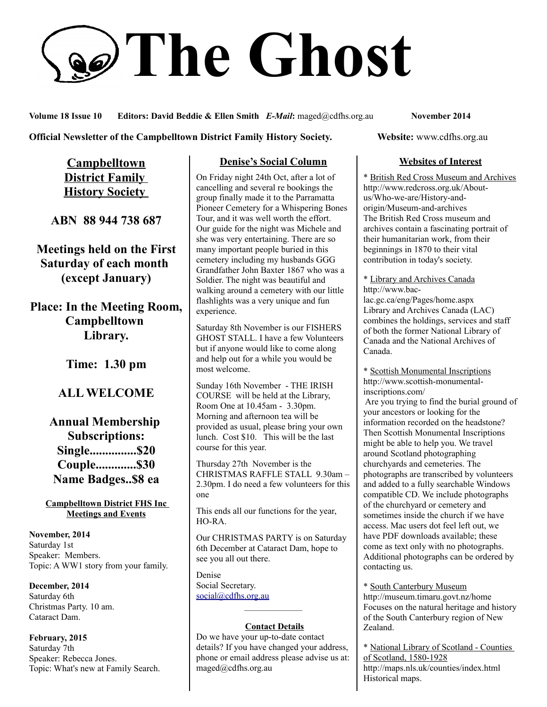# **The Ghost**

**Volume 18 Issue 10 Editors: David Beddie & Ellen Smith** *E-Mail***:** maged@cdfhs.org.au **November 2014**

**Official Newsletter of the Campbelltown District Family History Society. Website: www.cdfhs.org.au** 

**Campbelltown District Family History Society** 

**ABN 88 944 738 687**

**Meetings held on the First Saturday of each month (except January)**

**Place: In the Meeting Room, Campbelltown Library.**

**Time: 1.30 pm**

## **ALL WELCOME**

**Annual Membership Subscriptions: Single...............\$20 Couple.............\$30 Name Badges..\$8 ea**

**Campbelltown District FHS Inc Meetings and Events**

**November, 2014** Saturday 1st Speaker: Members. Topic: A WW1 story from your family.

**December, 2014** Saturday 6th Christmas Party. 10 am. Cataract Dam.

**February, 2015** Saturday 7th Speaker: Rebecca Jones. Topic: What's new at Family Search.

#### **Denise's Social Column**

On Friday night 24th Oct, after a lot of cancelling and several re bookings the group finally made it to the Parramatta Pioneer Cemetery for a Whispering Bones Tour, and it was well worth the effort. Our guide for the night was Michele and she was very entertaining. There are so many important people buried in this cemetery including my husbands GGG Grandfather John Baxter 1867 who was a Soldier. The night was beautiful and walking around a cemetery with our little flashlights was a very unique and fun experience.

Saturday 8th November is our FISHERS GHOST STALL. I have a few Volunteers but if anyone would like to come along and help out for a while you would be most welcome.

Sunday 16th November - THE IRISH COURSE will be held at the Library, Room One at 10.45am - 3.30pm. Morning and afternoon tea will be provided as usual, please bring your own lunch. Cost \$10. This will be the last course for this year.

Thursday 27th November is the CHRISTMAS RAFFLE STALL 9.30am – 2.30pm. I do need a few volunteers for this one

This ends all our functions for the year, HO-RA.

Our CHRISTMAS PARTY is on Saturday 6th December at Cataract Dam, hope to see you all out there.

Denise Social Secretary. [social@cdfhs.org.au](mailto:social@cdfhs.org.au)

## ——————– **Contact Details**

Do we have your up-to-date contact details? If you have changed your address, phone or email address please advise us at: maged@cdfhs.org.au

#### **Websites of Interest**

\* British Red Cross Museum and Archives http://www.redcross.org.uk/Aboutus/Who-we-are/History-andorigin/Museum-and-archives The British Red Cross museum and archives contain a fascinating portrait of their humanitarian work, from their beginnings in 1870 to their vital contribution in today's society.

\* Library and Archives Canada http://www.baclac.gc.ca/eng/Pages/home.aspx Library and Archives Canada (LAC) combines the holdings, services and staff of both the former National Library of Canada and the National Archives of Canada.

\* Scottish Monumental Inscriptions http://www.scottish-monumentalinscriptions.com/

 Are you trying to find the burial ground of your ancestors or looking for the information recorded on the headstone? Then Scottish Monumental Inscriptions might be able to help you. We travel around Scotland photographing churchyards and cemeteries. The photographs are transcribed by volunteers and added to a fully searchable Windows compatible CD. We include photographs of the churchyard or cemetery and sometimes inside the church if we have access. Mac users dot feel left out, we have PDF downloads available; these come as text only with no photographs. Additional photographs can be ordered by contacting us.

\* South Canterbury Museum http://museum.timaru.govt.nz/home Focuses on the natural heritage and history of the South Canterbury region of New Zealand.

\* National Library of Scotland - Counties of Scotland, 1580-1928 http://maps.nls.uk/counties/index.html Historical maps.